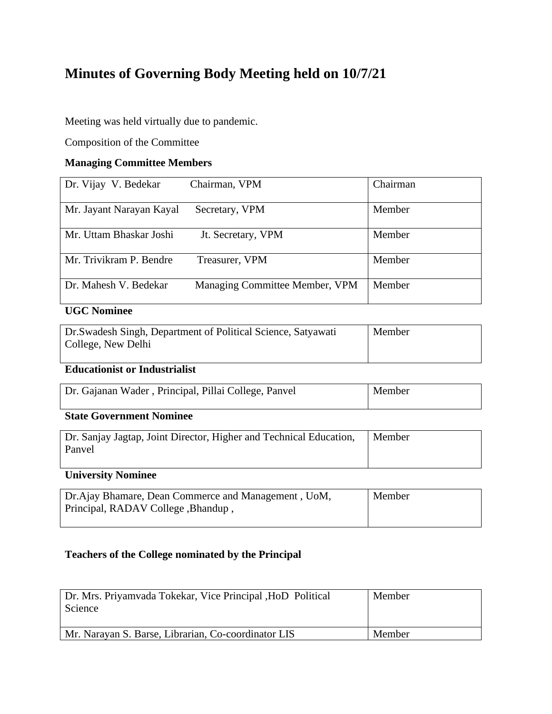# **Minutes of Governing Body Meeting held on 10/7/21**

Meeting was held virtually due to pandemic.

Composition of the Committee

## **Managing Committee Members**

| Dr. Vijay V. Bedekar     | Chairman, VPM                  | Chairman |
|--------------------------|--------------------------------|----------|
| Mr. Jayant Narayan Kayal | Secretary, VPM                 | Member   |
| Mr. Uttam Bhaskar Joshi  | Jt. Secretary, VPM             | Member   |
| Mr. Trivikram P. Bendre  | Treasurer, VPM                 | Member   |
| Dr. Mahesh V. Bedekar    | Managing Committee Member, VPM | Member   |

## **UGC Nominee**

| Dr. Swadesh Singh, Department of Political Science, Satyawati | Member |
|---------------------------------------------------------------|--------|
| College, New Delhi                                            |        |
|                                                               |        |

## **Educationist or Industrialist**

| Dr. Gajanan Wader, Principal, Pillai College, Panvel | Member |  |
|------------------------------------------------------|--------|--|
|------------------------------------------------------|--------|--|

## **State Government Nominee**

| Dr. Sanjay Jagtap, Joint Director, Higher and Technical Education, | Member |
|--------------------------------------------------------------------|--------|
| Panvel                                                             |        |
|                                                                    |        |

## **University Nominee**

| Dr. Ajay Bhamare, Dean Commerce and Management, UoM, | Member |
|------------------------------------------------------|--------|
| Principal, RADAV College, Bhandup,                   |        |
|                                                      |        |

## **Teachers of the College nominated by the Principal**

| Dr. Mrs. Priyamvada Tokekar, Vice Principal, HoD Political<br>Science | Member |
|-----------------------------------------------------------------------|--------|
| Mr. Narayan S. Barse, Librarian, Co-coordinator LIS                   | Member |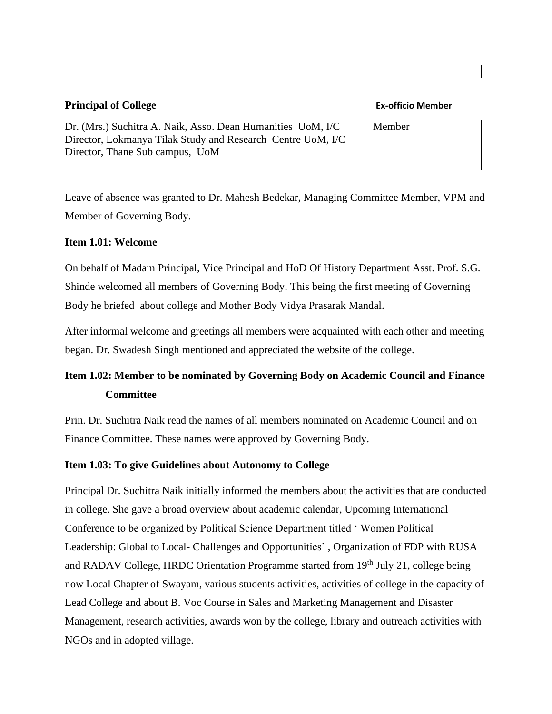## **Principal of College Ex-officio Member**

| Dr. (Mrs.) Suchitra A. Naik, Asso. Dean Humanities UoM, I/C | Member |
|-------------------------------------------------------------|--------|
| Director, Lokmanya Tilak Study and Research Centre UoM, I/C |        |
| Director, Thane Sub campus, UoM                             |        |
|                                                             |        |

Leave of absence was granted to Dr. Mahesh Bedekar, Managing Committee Member, VPM and Member of Governing Body.

## **Item 1.01: Welcome**

On behalf of Madam Principal, Vice Principal and HoD Of History Department Asst. Prof. S.G. Shinde welcomed all members of Governing Body. This being the first meeting of Governing Body he briefed about college and Mother Body Vidya Prasarak Mandal.

After informal welcome and greetings all members were acquainted with each other and meeting began. Dr. Swadesh Singh mentioned and appreciated the website of the college.

## **Item 1.02: Member to be nominated by Governing Body on Academic Council and Finance Committee**

Prin. Dr. Suchitra Naik read the names of all members nominated on Academic Council and on Finance Committee. These names were approved by Governing Body.

## **Item 1.03: To give Guidelines about Autonomy to College**

Principal Dr. Suchitra Naik initially informed the members about the activities that are conducted in college. She gave a broad overview about academic calendar, Upcoming International Conference to be organized by Political Science Department titled ' Women Political Leadership: Global to Local- Challenges and Opportunities' , Organization of FDP with RUSA and RADAV College, HRDC Orientation Programme started from 19<sup>th</sup> July 21, college being now Local Chapter of Swayam, various students activities, activities of college in the capacity of Lead College and about B. Voc Course in Sales and Marketing Management and Disaster Management, research activities, awards won by the college, library and outreach activities with NGOs and in adopted village.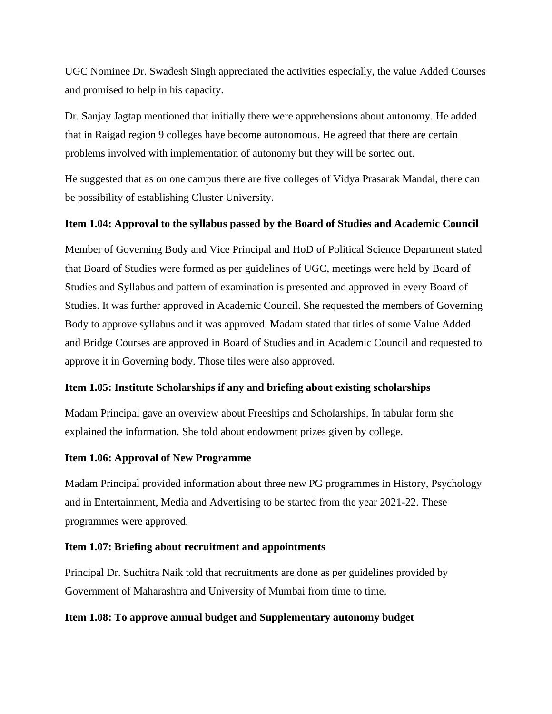UGC Nominee Dr. Swadesh Singh appreciated the activities especially, the value Added Courses and promised to help in his capacity.

Dr. Sanjay Jagtap mentioned that initially there were apprehensions about autonomy. He added that in Raigad region 9 colleges have become autonomous. He agreed that there are certain problems involved with implementation of autonomy but they will be sorted out.

He suggested that as on one campus there are five colleges of Vidya Prasarak Mandal, there can be possibility of establishing Cluster University.

## **Item 1.04: Approval to the syllabus passed by the Board of Studies and Academic Council**

Member of Governing Body and Vice Principal and HoD of Political Science Department stated that Board of Studies were formed as per guidelines of UGC, meetings were held by Board of Studies and Syllabus and pattern of examination is presented and approved in every Board of Studies. It was further approved in Academic Council. She requested the members of Governing Body to approve syllabus and it was approved. Madam stated that titles of some Value Added and Bridge Courses are approved in Board of Studies and in Academic Council and requested to approve it in Governing body. Those tiles were also approved.

## **Item 1.05: Institute Scholarships if any and briefing about existing scholarships**

Madam Principal gave an overview about Freeships and Scholarships. In tabular form she explained the information. She told about endowment prizes given by college.

## **Item 1.06: Approval of New Programme**

Madam Principal provided information about three new PG programmes in History, Psychology and in Entertainment, Media and Advertising to be started from the year 2021-22. These programmes were approved.

## **Item 1.07: Briefing about recruitment and appointments**

Principal Dr. Suchitra Naik told that recruitments are done as per guidelines provided by Government of Maharashtra and University of Mumbai from time to time.

## **Item 1.08: To approve annual budget and Supplementary autonomy budget**